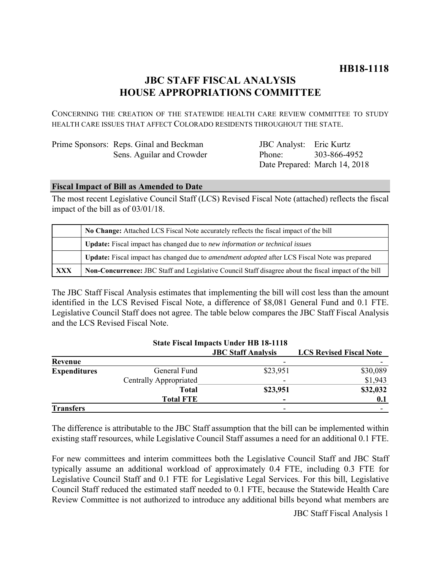# **JBC STAFF FISCAL ANALYSIS HOUSE APPROPRIATIONS COMMITTEE**

CONCERNING THE CREATION OF THE STATEWIDE HEALTH CARE REVIEW COMMITTEE TO STUDY HEALTH CARE ISSUES THAT AFFECT COLORADO RESIDENTS THROUGHOUT THE STATE.

| Prime Sponsors: Reps. Ginal and Beckman |  |
|-----------------------------------------|--|
| Sens. Aguilar and Crowder               |  |

JBC Analyst: Eric Kurtz Phone: Date Prepared: March 14, 2018 303-866-4952

# **Fiscal Impact of Bill as Amended to Date**

The most recent Legislative Council Staff (LCS) Revised Fiscal Note (attached) reflects the fiscal impact of the bill as of 03/01/18.

|            | No Change: Attached LCS Fiscal Note accurately reflects the fiscal impact of the bill                 |  |
|------------|-------------------------------------------------------------------------------------------------------|--|
|            | <b>Update:</b> Fiscal impact has changed due to new information or technical issues                   |  |
|            | Update: Fiscal impact has changed due to <i>amendment adopted</i> after LCS Fiscal Note was prepared  |  |
| <b>XXX</b> | Non-Concurrence: JBC Staff and Legislative Council Staff disagree about the fiscal impact of the bill |  |

The JBC Staff Fiscal Analysis estimates that implementing the bill will cost less than the amount identified in the LCS Revised Fiscal Note, a difference of \$8,081 General Fund and 0.1 FTE. Legislative Council Staff does not agree. The table below compares the JBC Staff Fiscal Analysis and the LCS Revised Fiscal Note.

|                     |                               | <b>State Fiscal Impacts Under HB 18-1118</b> |                                |
|---------------------|-------------------------------|----------------------------------------------|--------------------------------|
|                     |                               | <b>JBC</b> Staff Analysis                    | <b>LCS Revised Fiscal Note</b> |
| Revenue             |                               |                                              |                                |
| <b>Expenditures</b> | General Fund                  | \$23,951                                     | \$30,089                       |
|                     | <b>Centrally Appropriated</b> | $\overline{\phantom{0}}$                     | \$1,943                        |
|                     | <b>Total</b>                  | \$23,951                                     | \$32,032                       |
|                     | <b>Total FTE</b>              |                                              | 0.1                            |
| <b>Transfers</b>    |                               | -                                            |                                |

The difference is attributable to the JBC Staff assumption that the bill can be implemented within existing staff resources, while Legislative Council Staff assumes a need for an additional 0.1 FTE.

For new committees and interim committees both the Legislative Council Staff and JBC Staff typically assume an additional workload of approximately 0.4 FTE, including 0.3 FTE for Legislative Council Staff and 0.1 FTE for Legislative Legal Services. For this bill, Legislative Council Staff reduced the estimated staff needed to 0.1 FTE, because the Statewide Health Care Review Committee is not authorized to introduce any additional bills beyond what members are

JBC Staff Fiscal Analysis 1